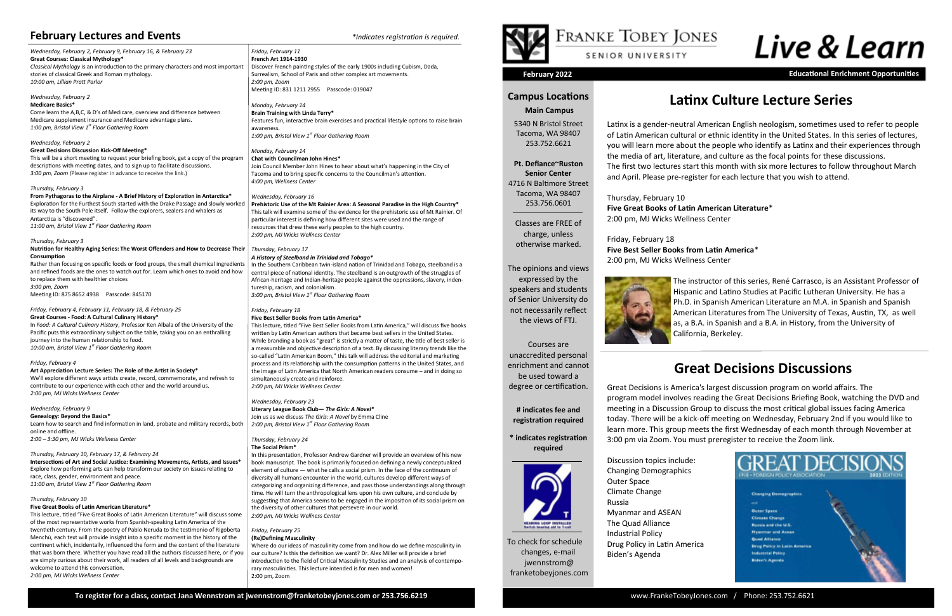To check for schedule changes, e-mail jwennstrom@ franketobeyjones.com

#### **Campus Locations**

#### **Main Campus**

5340 N Bristol Street Tacoma, WA 98407 253.752.6621

#### **Pt. Defiance~Ruston**

**Senior Center** 4716 N Baltimore Street Tacoma, WA 98407 253.756.0601

Classes are FREE of charge, unless otherwise marked.

## The opinions and views expressed by the

speakers and students of Senior University do not necessarily reflect the views of FTJ.

#### Courses are unaccredited personal enrichment and cannot be used toward a degree or certification.

**# indicates fee and registration required**

#### **\* indicates registration required**



**February 2022 Educational Enrichment Opportunities**

*Wednesday, February 2, February 9, February 16, & February 23* **Great Courses: Classical Mythology\***  *Classical Mythology* is an introduction to the primary characters and most important stories of classical Greek and Roman mythology. *10:00 am, Lillian Pratt Parlor*

#### *Wednesday, February 2* **Medicare Basics\***

Come learn the A,B,C, & D's of Medicare, overview and difference between Medicare supplement insurance and Medicare advantage plans. *1:00 pm, Bristol View 1st Floor Gathering Room*

#### *Wednesday, February 2*

**Great Decisions Discussion Kick-Off Meeting\*** This will be a short meeting to request your briefing book, get a copy of the program descriptions with meeting dates, and to sign up to facilitate discussions. *3:00 pm, Zoom (*Please register in advance to receive the link.)

#### *Thursday, February 3*

**From Pythagoras to the Airplane - A Brief History of Exploration in Antarctica\*** Exploration for the Furthest South started with the Drake Passage and slowly worked its way to the South Pole itself. Follow the explorers, sealers and whalers as Antarctica is "discovered". *11:00 am, Bristol View 1st Floor Gathering Room*

*Thursday, February 3*

**Nutrition for Healthy Aging Series: The Worst Offenders and How to Decrease Their Consumption**

Rather than focusing on specific foods or food groups, the small chemical ingredients and refined foods are the ones to watch out for. Learn which ones to avoid and how to replace them with healthier choices *3:00 pm, Zoom*

Meeting ID: 875 8652 4938 Passcode: 845170

#### *Friday, February 4, February 11, February 18, & February 25*

**Great Courses - Food: A Cultural Culinary History\*** In *Food: A Cultural Culinary History*, Professor Ken Albala of the University of the Pacific puts this extraordinary subject on the table, taking you on an enthralling journey into the human relationship to food. *10:00 am, Bristol View 1st Floor Gathering Room*

#### *Friday, February 4*

**Art Appreciation Lecture Series: The Role of the Artist in Society\*** We'll explore different ways artists create, record, commemorate, and refresh to

contribute to our experience with each other and the world around us. *2:00 pm, MJ Wicks Wellness Center* 

#### *Wednesday, February 9*

**Genealogy: Beyond the Basics\*** Learn how to search and find information in land, probate and military records, both online and offline.

*2:00 – 3:30 pm, MJ Wicks Wellness Center*

#### *Thursday, February 10, February 17, & February 24*

**Intersections of Art and Social Justice: Examining Movements, Artists, and Issues\*** Explore how performing arts can help transform our society on issues relating to race, class, gender, environment and peace. *11:00 am, Bristol View 1st Floor Gathering Room*

#### *Thursday, February 10*

#### **Five Great Books of Latin American Literature\***

This lecture, titled "Five Great Books of Latin American Literature" will discuss some of the most representative works from Spanish-speaking Latin America of the twentieth century. From the poetry of Pablo Neruda to the testimonio of Rigoberta Menchú, each text will provide insight into a specific moment in the history of the continent which, incidentally, influenced the form and the content of the literature that was born there. Whether you have read all the authors discussed here, or if you are simply curious about their work, all readers of all levels and backgrounds are welcome to attend this conversation. *2:00 pm, MJ Wicks Wellness Center*

#### *Friday, February 11* **French Art 1914-1930** Discover French painting styles of the early 1900s including Cubism, Dada, Surrealism, School of Paris and other complex art movements. *2:00 pm, Zoom*  Meeting ID: 831 1211 2955 Passcode: 019047

*Monday, February 14* **Brain Training with Linda Terry\*** Features fun, interactive brain exercises and practical lifestyle options to raise brain awareness. *1:00 pm, Bristol View 1st Floor Gathering Room*

#### *Monday, February 14* **Chat with Councilman John Hines\***

Join Council Member John Hines to hear about what's happening in the City of Tacoma and to bring specific concerns to the Councilman's attention. *4:00 pm, Wellness Center*

*Wednesday, February 16*

**Prehistoric Use of the Mt Rainier Area: A Seasonal Paradise in the High Country\*** This talk will examine some of the evidence for the prehistoric use of Mt Rainier. Of particular interest is defining how different sites were used and the range of resources that drew these early peoples to the high country. *2:00 pm, MJ Wicks Wellness Center* 

*Thursday, February 17 A History of Steelband in Trinidad and Tobago\**

In the Southern Caribbean twin-island nation of Trinidad and Tobago, steelband is a central piece of national identity. The steelband is an outgrowth of the struggles of African-heritage and Indian-heritage people against the oppressions, slavery, indentureship, racism, and colonialism. *3:00 pm, Bristol View 1st Floor Gathering Room*

#### *Friday, February 18*

#### **Five Best Seller Books from Latin America\***

This lecture, titled "Five Best Seller Books from Latin America," will discuss five books written by Latin American authors that became best sellers in the United States. While branding a book as "great" is strictly a matter of taste, the title of best seller is a measurable and objective description of a text. By discussing literary trends like the so-called "Latin American Boom," this talk will address the editorial and marketing process and its relationship with the consumption patterns in the United States, and the image of Latin America that North American readers consume – and in doing so simultaneously create and reinforce. *2:00 pm, MJ Wicks Wellness Center*

*Wednesday, February 23*

#### **Literary League Book Club—** *The Girls: A Novel\**

Join us as we discuss *The Girls: A Novel* by Emma Cline *2:00 pm, Bristol View 1st Floor Gathering Room*

#### *Thursday, February 24*

#### **The Social Prism\***

In this presentation, Professor Andrew Gardner will provide an overview of his new book manuscript. The book is primarily focused on defining a newly conceptualized element of culture — what he calls a social prism. In the face of the continuum of diversity all humans encounter in the world, cultures develop different ways of categorizing and organizing difference, and pass those understandings along through time. He will turn the anthropological lens upon his own culture, and conclude by suggesting that America seems to be engaged in the imposition of its social prism on the diversity of other cultures that persevere in our world. *2:00 pm, MJ Wicks Wellness Center*

#### *Friday, February 25* **(Re)Defining Masculinity**

Where do our ideas of masculinity come from and how do we define masculinity in our culture? Is this the definition we want? Dr. Alex Miller will provide a brief introduction to the field of Critical Masculinity Studies and an analysis of contemporary masculinities. This lecture intended is for men and women! 2:00 pm, Zoom



## FRANKE TOBEY JONES

#### SENIOR UNIVERSITY



## **Latinx Culture Lecture Series**

### **February Lectures and Events** *\*Indicates registration is required.*

## **Great Decisions Discussions**



Great Decisions is America's largest discussion program on world affairs. The program model involves reading the Great Decisions Briefing Book, watching the DVD and meeting in a Discussion Group to discuss the most critical global issues facing America today. There will be a kick-off meeting on Wednesday, February 2nd if you would like to learn more. This group meets the first Wednesday of each month through November at 3:00 pm via Zoom. You must preregister to receive the Zoom link.

Discussion topics include: Changing Demographics Outer Space Climate Change Russia Myanmar and ASEAN The Quad Alliance Industrial Policy Drug Policy in Latin America Biden's Agenda

Latinx is a gender-neutral American English neologism, sometimes used to refer to people of Latin American cultural or ethnic identity in the United States. In this series of lectures, you will learn more about the people who identify as Latinx and their experiences through the media of art, literature, and culture as the focal points for these discussions. The first two lectures start this month with six more lectures to follow throughout March and April. Please pre-register for each lecture that you wish to attend.

Thursday, February 10 **Five Great Books of Latin American Literature**\* 2:00 pm, MJ Wicks Wellness Center

#### Friday, February 18 **Five Best Seller Books from Latin America**\* 2:00 pm, MJ Wicks Wellness Center



The instructor of this series, René Carrasco, is an Assistant Professor of Hispanic and Latino Studies at Pacific Lutheran University. He has a Ph.D. in Spanish American Literature an M.A. in Spanish and Spanish American Literatures from The University of Texas, Austin, TX, as well as, a B.A. in Spanish and a B.A. in History, from the University of California, Berkeley.